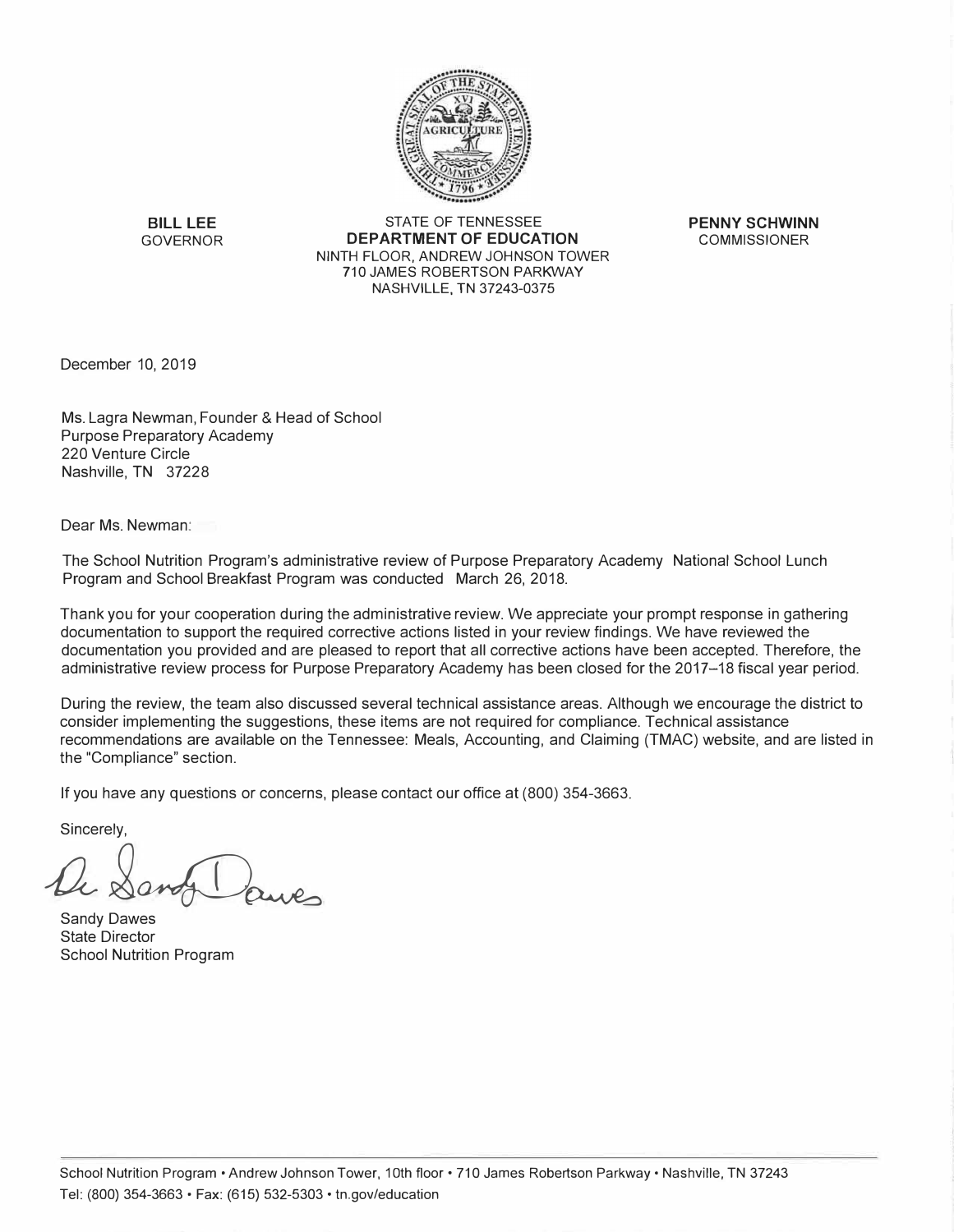

**BILL LEE** STATE OF TENNESSEE **PENNY SCHWINN**<br>GOVERNOR **DEPARTMENT OF EDUCATION** COMMISSIONER **DEPARTMENT OF EDUCATION** NINTH FLOOR, ANDREW JOHNSON TOWER 710 JAMES ROBERTSON PARKWAY NASHVILLE, TN 37243-0375

December 10, 2019

Ms. Lagra Newman, Founder & Head of School Purpose Preparatory Academy 220 Venture Circle Nashville, TN 37228

Dear Ms. Newman:

The School Nutrition Program's administrative review of Purpose Preparatory Academy National School Lunch Program and School Breakfast Program was conducted March 26, 2018.

Thank you for your cooperation during the administrative review. We appreciate your prompt response in gathering documentation to support the required corrective actions listed in your review findings. We have reviewed the documentation you provided and are pleased to report that all corrective actions have been accepted. Therefore, the administrative review process for Purpose Preparatory Academy has been closed for the 2017-18 fiscal year period.

During the review, the team also discussed several technical assistance areas. Although we encourage the district to consider implementing the suggestions, these items are not required for compliance. Technical assistance recommendations are available on the Tennessee: Meals, Accounting, and Claiming (TMAC) website, and are listed in the "Compliance" section.

If you have any questions or concerns, please contact our office at (800) 354-3663.

Sincerely,

sincerely,<br> *Q andy* Daves

Sandy Dawes State Director School Nutrition Program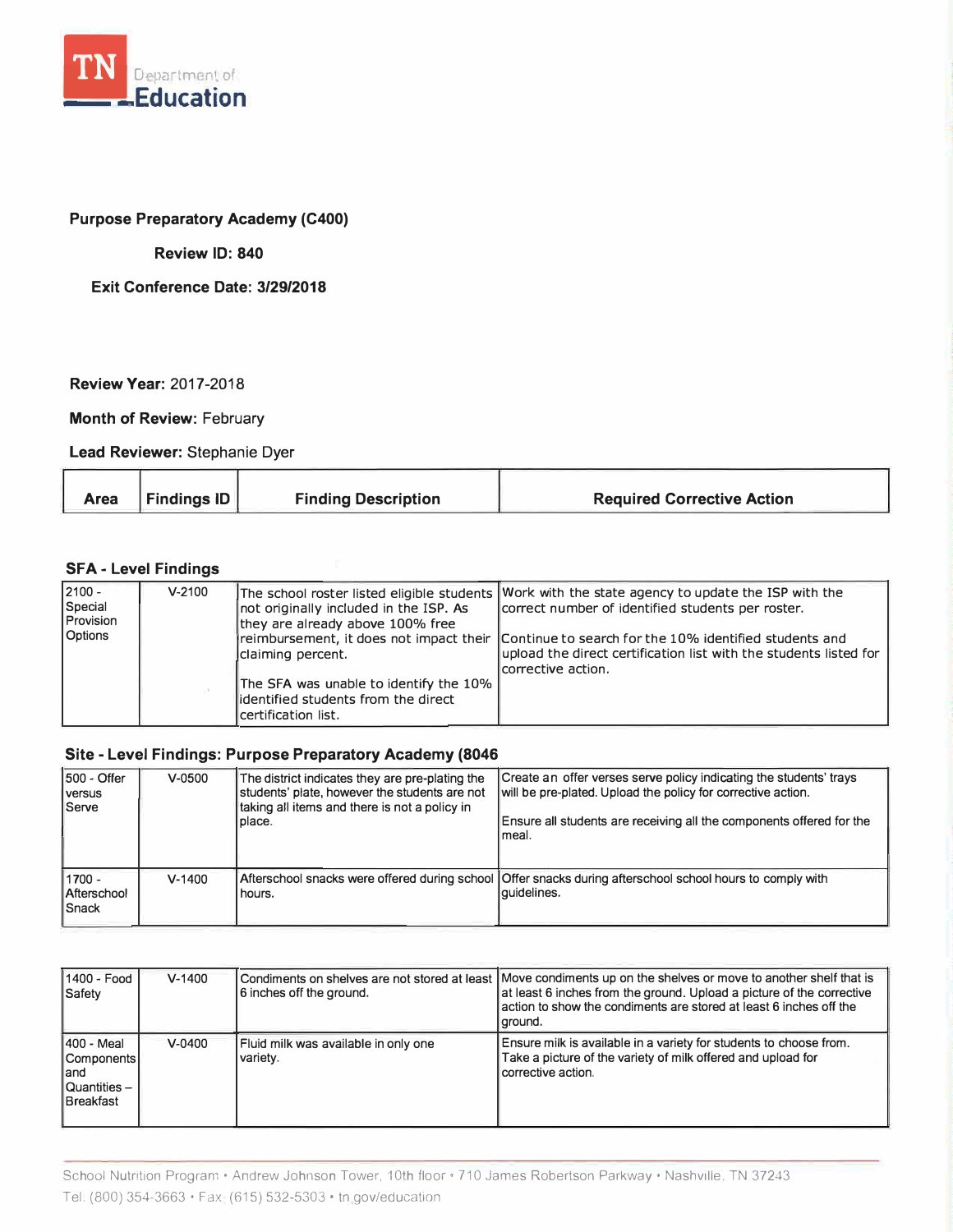

## **Purpose Preparatory Academy (C400)**

## **Review ID: 840**

**Exit Conference Date: 3/29/2018** 

**Review Year:** 2017-2018

**Month of Review: February** 

**Lead Reviewer:** Stephanie Dyer

| <b>Finding Description</b><br><b>Required Corrective Action</b><br>Findings ID<br>Area |
|----------------------------------------------------------------------------------------|
|----------------------------------------------------------------------------------------|

## **SFA - Level Findings**

| $2100 -$<br>Special<br>Provision<br><b>Options</b> | $V - 2100$ | not originally included in the ISP. As<br>they are already above 100% free                             | The school roster listed eligible students Work with the state agency to update the ISP with the<br>correct number of identified students per roster.                                      |
|----------------------------------------------------|------------|--------------------------------------------------------------------------------------------------------|--------------------------------------------------------------------------------------------------------------------------------------------------------------------------------------------|
|                                                    |            | claiming percent.                                                                                      | reimbursement, it does not impact their 1Continue to search for the 10% identified students and<br>upload the direct certification list with the students listed for<br>corrective action. |
|                                                    |            | The SFA was unable to identify the 10%<br>lidentified students from the direct<br>Icertification list. |                                                                                                                                                                                            |

## **Site - Level Findings: Purpose Preparatory Academy (8046**

| 1500 - Offer<br>I versus<br> Serve      | $V - 0500$ | The district indicates they are pre-plating the<br>students' plate, however the students are not<br>taking all items and there is not a policy in<br>place. | Create an offer verses serve policy indicating the students' trays<br>will be pre-plated. Upload the policy for corrective action.<br>Ensure all students are receiving all the components offered for the<br>l meal. |
|-----------------------------------------|------------|-------------------------------------------------------------------------------------------------------------------------------------------------------------|-----------------------------------------------------------------------------------------------------------------------------------------------------------------------------------------------------------------------|
| $1700 -$<br>Afterschool<br><b>Snack</b> | $V - 1400$ | hours.                                                                                                                                                      | Afterschool snacks were offered during school   Offer snacks during afterschool school hours to comply with<br>l auidelines.                                                                                          |

| 1400 - Food<br>Safety                                                       | $V - 1400$ | 6 inches off the ground.                         | Condiments on shelves are not stored at least  Move condiments up on the shelves or move to another shelf that is<br>at least 6 inches from the ground. Upload a picture of the corrective<br>action to show the condiments are stored at least 6 inches off the<br>ground. |
|-----------------------------------------------------------------------------|------------|--------------------------------------------------|-----------------------------------------------------------------------------------------------------------------------------------------------------------------------------------------------------------------------------------------------------------------------------|
| 1400 - Meal<br><b>Components</b><br>land<br>Quantities-<br><b>Breakfast</b> | $V - 0400$ | Fluid milk was available in only one<br>variety. | Ensure milk is available in a variety for students to choose from.<br>Take a picture of the variety of milk offered and upload for<br>corrective action.                                                                                                                    |